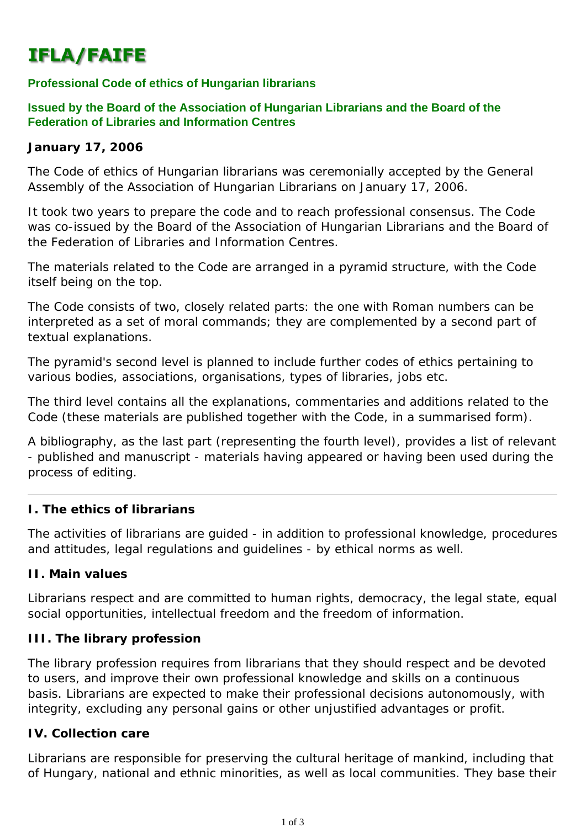# **IFLA/FAIFE**

## **Professional Code of ethics of Hungarian librarians**

### **Issued by the Board of the Association of Hungarian Librarians and the Board of the Federation of Libraries and Information Centres**

#### **January 17, 2006**

The Code of ethics of Hungarian librarians was ceremonially accepted by the General Assembly of the Association of Hungarian Librarians on January 17, 2006.

It took two years to prepare the code and to reach professional consensus. The Code was co-issued by the Board of the Association of Hungarian Librarians and the Board of the Federation of Libraries and Information Centres.

The materials related to the Code are arranged in a pyramid structure, with the Code itself being on the top.

The Code consists of two, closely related parts: the one with Roman numbers can be interpreted as a set of moral commands; they are complemented by a second part of textual explanations.

The pyramid's second level is planned to include further codes of ethics pertaining to various bodies, associations, organisations, types of libraries, jobs etc.

The third level contains all the explanations, commentaries and additions related to the Code (these materials are published together with the Code, in a summarised form).

A bibliography, as the last part (representing the fourth level), provides a list of relevant - published and manuscript - materials having appeared or having been used during the process of editing.

### **I. The ethics of librarians**

The activities of librarians are guided - in addition to professional knowledge, procedures and attitudes, legal regulations and guidelines - by ethical norms as well.

#### **II. Main values**

Librarians respect and are committed to human rights, democracy, the legal state, equal social opportunities, intellectual freedom and the freedom of information.

#### **III. The library profession**

The library profession requires from librarians that they should respect and be devoted to users, and improve their own professional knowledge and skills on a continuous basis. Librarians are expected to make their professional decisions autonomously, with integrity, excluding any personal gains or other unjustified advantages or profit.

### **IV. Collection care**

Librarians are responsible for preserving the cultural heritage of mankind, including that of Hungary, national and ethnic minorities, as well as local communities. They base their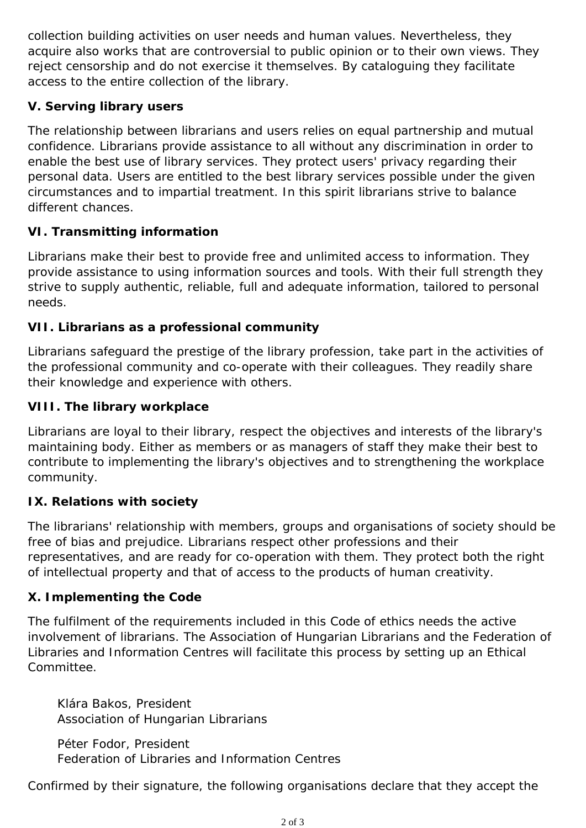collection building activities on user needs and human values. Nevertheless, they acquire also works that are controversial to public opinion or to their own views. They reject censorship and do not exercise it themselves. By cataloguing they facilitate access to the entire collection of the library.

## **V. Serving library users**

The relationship between librarians and users relies on equal partnership and mutual confidence. Librarians provide assistance to all without any discrimination in order to enable the best use of library services. They protect users' privacy regarding their personal data. Users are entitled to the best library services possible under the given circumstances and to impartial treatment. In this spirit librarians strive to balance different chances.

# **VI. Transmitting information**

Librarians make their best to provide free and unlimited access to information. They provide assistance to using information sources and tools. With their full strength they strive to supply authentic, reliable, full and adequate information, tailored to personal needs.

## **VII. Librarians as a professional community**

Librarians safeguard the prestige of the library profession, take part in the activities of the professional community and co-operate with their colleagues. They readily share their knowledge and experience with others.

## **VIII. The library workplace**

Librarians are loyal to their library, respect the objectives and interests of the library's maintaining body. Either as members or as managers of staff they make their best to contribute to implementing the library's objectives and to strengthening the workplace community.

## **IX. Relations with society**

The librarians' relationship with members, groups and organisations of society should be free of bias and prejudice. Librarians respect other professions and their representatives, and are ready for co-operation with them. They protect both the right of intellectual property and that of access to the products of human creativity.

## **X. Implementing the Code**

The fulfilment of the requirements included in this Code of ethics needs the active involvement of librarians. The Association of Hungarian Librarians and the Federation of Libraries and Information Centres will facilitate this process by setting up an Ethical Committee.

Klára Bakos, President Association of Hungarian Librarians

Péter Fodor, President Federation of Libraries and Information Centres

Confirmed by their signature, the following organisations declare that they accept the